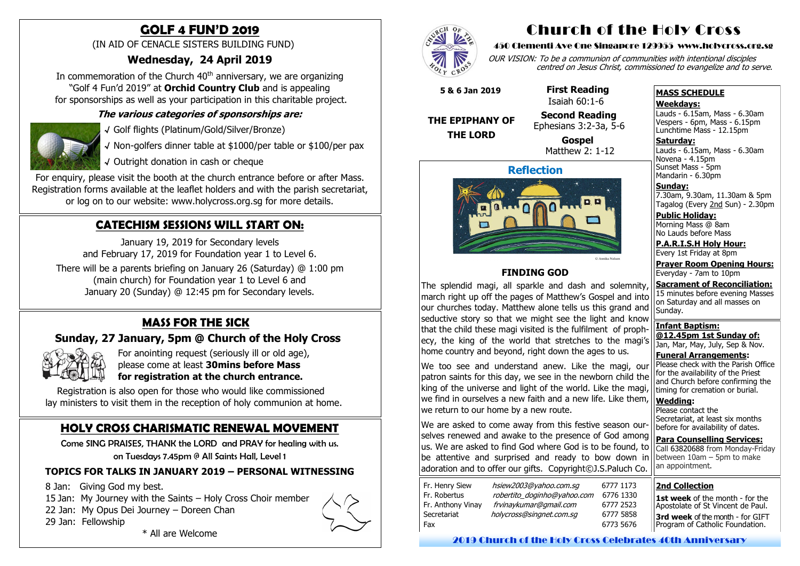# **MASS FOR THE SICK**

# **Sunday, 27 January, 5pm @ Church of the Holy Cross**



For anointing request (seriously ill or old age), please come at least **30mins before Mass for registration at the church entrance.** 

 Registration is also open for those who would like commissioned lay ministers to visit them in the reception of holy communion at home.

In commemoration of the Church  $40<sup>th</sup>$  anniversary, we are organizing "Golf 4 Fun'd 2019" at **Orchid Country Club** and is appealing for sponsorships as well as your participation in this charitable project.

# **GOLF 4 FUN'D 2019**

(IN AID OF CENACLE SISTERS BUILDING FUND)

# **Wednesday, 24 April 2019**

For enquiry, please visit the booth at the church entrance before or after Mass. Registration forms available at the leaflet holders and with the parish secretariat, or log on to our website: www.holycross.org.sg for more details.

### **The various categories of sponsorships are:**



√ Golf flights (Platinum/Gold/Silver/Bronze)

√ Non-golfers dinner table at \$1000/per table or \$100/per pax

√ Outright donation in cash or cheque

# **HOLY CROSS CHARISMATIC RENEWAL MOVEMENT**

Come SING PRAISES, THANK the LORD and PRAY for healing with us. on Tuesdays 7.45pm @ All Saints Hall, Level 1

Novena - 4.15pm Sunset Mass - 5pm Mandarin - 6.30pm

### **TOPICS FOR TALKS IN JANUARY 2019 – PERSONAL WITNESSING**

8 Jan: Giving God my best.

15 Jan: My Journey with the Saints – Holy Cross Choir member

22 Jan: My Opus Dei Journey – Doreen Chan

29 Jan: Fellowship

\* All are Welcome



# **CATECHISM SESSIONS WILL START ON:**

January 19, 2019 for Secondary levels and February 17, 2019 for Foundation year 1 to Level 6. There will be a parents briefing on January 26 (Saturday) @ 1:00 pm (main church) for Foundation year 1 to Level 6 and

January 20 (Sunday) @ 12:45 pm for Secondary levels.

# Church of the Holy Cross

### 450 Clementi Ave One Singapore 129955 www.holycross.org.sg

OUR VISION: To be a communion of communities with intentional disciples centred on Jesus Christ, commissioned to evangelize and to serve.

### **MASS SCHEDULE**

### **Weekdays:**

1st week of the month - for the Apostolate of St Vincent de Paul. **3rd week** of the month - for GIFT Program of Catholic Foundation.

Lauds - 6.15am, Mass - 6.30am Vespers - 6pm, Mass - 6.15pm Lunchtime Mass - 12.15pm

**Saturday:** Lauds - 6.15am, Mass - 6.30am

**Sunday:** 7.30am, 9.30am, 11.30am & 5pm Tagalog (Every 2nd Sun) - 2.30pm

**Public Holiday:**  Morning Mass @ 8am No Lauds before Mass

**P.A.R.I.S.H Holy Hour:** Every 1st Friday at 8pm

**Prayer Room Opening Hours:** Everyday - 7am to 10pm

**Sacrament of Reconciliation:** 15 minutes before evening Masses on Saturday and all masses on Sunday.

**Infant Baptism: @12.45pm 1st Sunday of:** Jan, Mar, May, July, Sep & Nov.

**Funeral Arrangements:**  Please check with the Parish Office for the availability of the Priest and Church before confirming the timing for cremation or burial.

**Wedding:**  Please contact the Secretariat, at least six months before for availability of dates.

**Para Counselling Services:** Call [63820688](tel:+6563820688) from Monday-Friday between  $10$ am – 5pm to make an appointment.



### **FINDING GOD**

The splendid magi, all sparkle and dash and solemnity, march right up off the pages of Matthew's Gospel and into our churches today. Matthew alone tells us this grand and seductive story so that we might see the light and know that the child these magi visited is the fulfilment of prophecy, the king of the world that stretches to the magi's home country and beyond, right down the ages to us.

We too see and understand anew. Like the magi, our patron saints for this day, we see in the newborn child the king of the universe and light of the world. Like the magi, we find in ourselves a new faith and a new life. Like them, we return to our home by a new route.

We are asked to come away from this festive season ourselves renewed and awake to the presence of God among us. We are asked to find God where God is to be found, to be attentive and surprised and ready to bow down in adoration and to offer our gifts. Copyright©J.S.Paluch Co.

| Fr. Henry Siew    | hsiew2003@yahoo.com.sg      |    |
|-------------------|-----------------------------|----|
| Fr. Robertus      | robertito_doginho@yahoo.com | -6 |
| Fr. Anthony Vinay | frvinaykumar@gmail.com      |    |
| Secretariat       | holycross@singnet.com.sq    |    |
| Fax               |                             |    |
|                   |                             |    |

 **5 & 6 Jan 2019**

# **THE EPIPHANY OF THE LORD**

 **First Reading** Isaiah 60:1-6

### **Second Reading** Ephesians 3:2-3a, 5-6

 **Gospel** Matthew 2: 1-12

### **2nd Collection**

2019 Church of the Holy Cross Celebrates 40th Anniversary